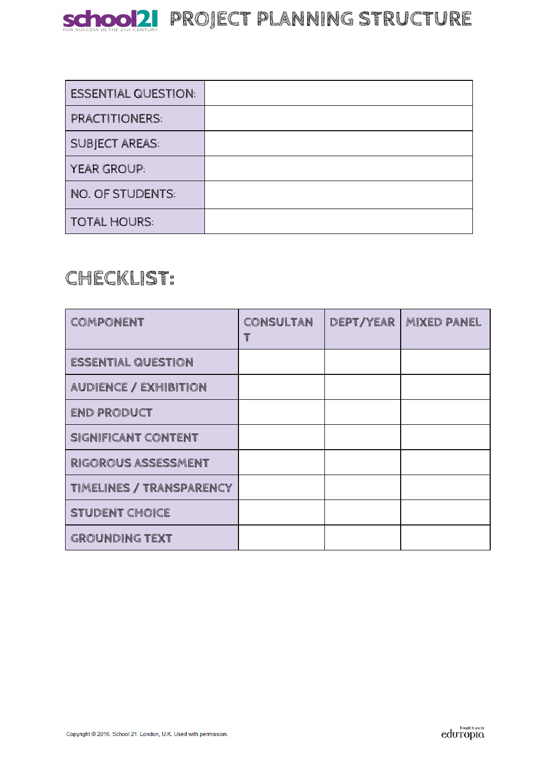

| <b>ESSENTIAL QUESTION:</b> |  |
|----------------------------|--|
| <b>PRACTITIONERS:</b>      |  |
| <b>SUBJECT AREAS:</b>      |  |
| <b>YEAR GROUP:</b>         |  |
| NO. OF STUDENTS:           |  |
| <b>TOTAL HOURS:</b>        |  |

# **CHECKLIST:**

| COMPONENT                       | CONSULTAN<br>T | DEPT/YEAR | <b>MIXED PANEL</b> |
|---------------------------------|----------------|-----------|--------------------|
| <b>ESSENTIAL QUESTION</b>       |                |           |                    |
| <b>AUDIENCE / EXHIBITION</b>    |                |           |                    |
| <b>END PRODUCT</b>              |                |           |                    |
| SIGNIFICANT CONTENT             |                |           |                    |
| RIGOROUS ASSESSMENT             |                |           |                    |
| <b>TIMELINES / TRANSPARENCY</b> |                |           |                    |
| <b>STUDENT CHOICE</b>           |                |           |                    |
| <b>GROUNDING TEXT</b>           |                |           |                    |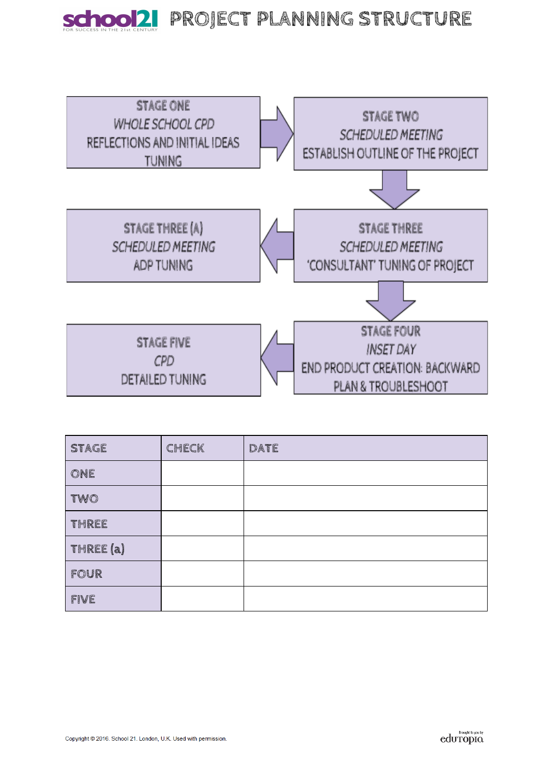



| <b>STAGE</b> | CHECK | DATE |
|--------------|-------|------|
| ONE          |       |      |
| TWO          |       |      |
| THREE        |       |      |
| THREE (a)    |       |      |
| FOUR         |       |      |
| FIVE         |       |      |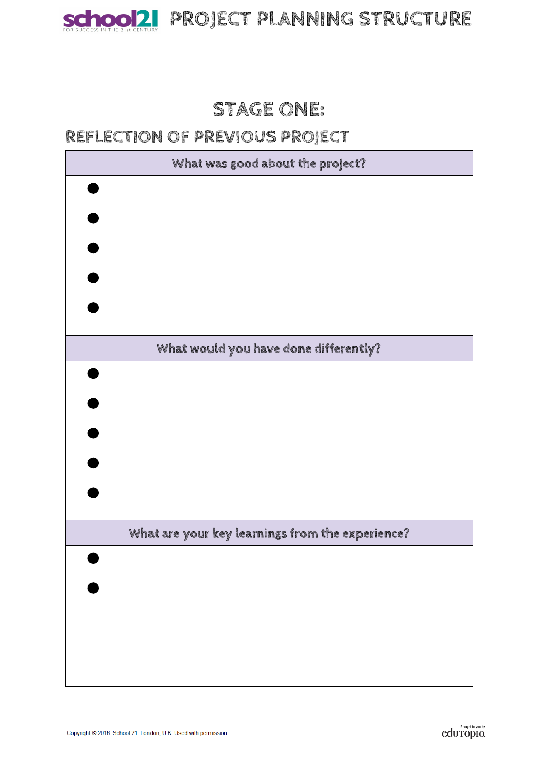

# SChool2 PROJECT PLANNING STRUCTURE

# **STAGE ONE:**

## **REFLECTION OF PREVIOUS PROJECT**

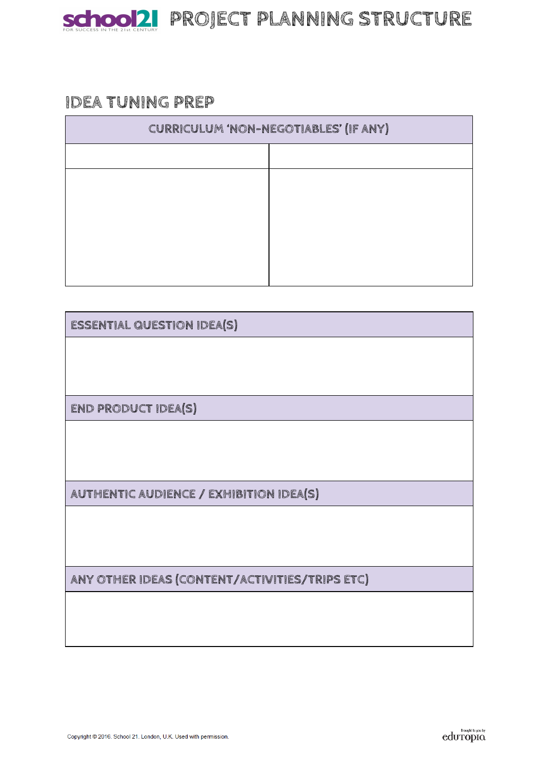

### **IDEA TUNING PREP**

| CURRICULUM 'NON-NEGOTIABLES' (IF ANY) |  |  |  |
|---------------------------------------|--|--|--|
|                                       |  |  |  |
|                                       |  |  |  |
|                                       |  |  |  |
|                                       |  |  |  |
|                                       |  |  |  |
|                                       |  |  |  |

| <b>ESSENTIAL QUESTION IDEA(S)</b>              |  |  |
|------------------------------------------------|--|--|
|                                                |  |  |
|                                                |  |  |
| END PRODUCT IDEA(S)                            |  |  |
|                                                |  |  |
|                                                |  |  |
| AUTHENTIC AUDIENCE / EXHIBITION IDEA(S)        |  |  |
|                                                |  |  |
|                                                |  |  |
| ANY OTHER IDEAS (CONTENT/ACTIVITIES/TRIPS ETC) |  |  |
|                                                |  |  |
|                                                |  |  |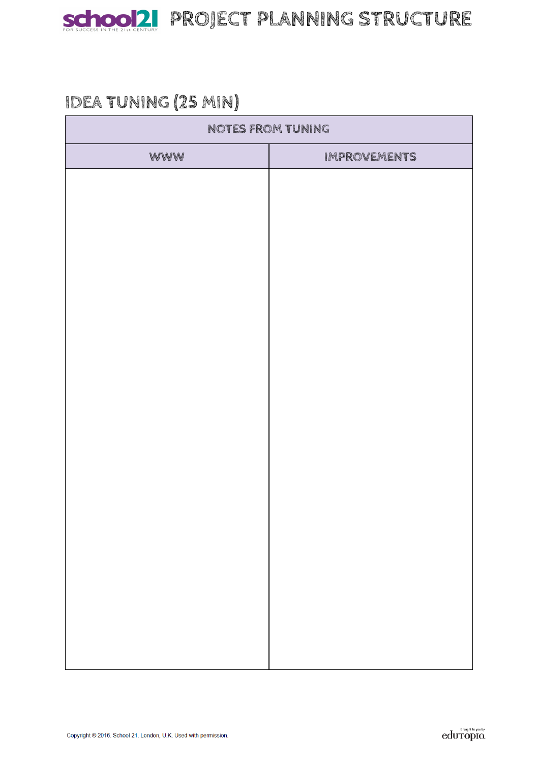

# **IDEA TUNING (25 MIN)**

| NOTES FROM TUNING |                     |  |
|-------------------|---------------------|--|
| WWW               | <b>IMPROVEMENTS</b> |  |
|                   |                     |  |
|                   |                     |  |
|                   |                     |  |
|                   |                     |  |
|                   |                     |  |
|                   |                     |  |
|                   |                     |  |
|                   |                     |  |
|                   |                     |  |
|                   |                     |  |
|                   |                     |  |
|                   |                     |  |
|                   |                     |  |
|                   |                     |  |
|                   |                     |  |
|                   |                     |  |
|                   |                     |  |
|                   |                     |  |
|                   |                     |  |
|                   |                     |  |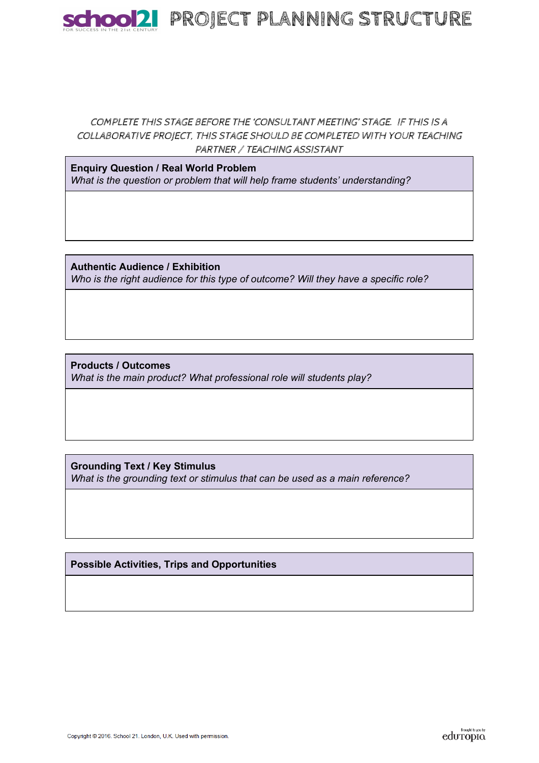

### COMPLETE THIS STAGE BEFORE THE 'CONSULTANT MEETING' STAGE. IF THIS IS A COLLABORATIVE PROJECT, THIS STAGE SHOULD BE COMPLETED WITH YOUR TEACHING PARTNER / TEACHING ASSISTANT

**Enquiry Question / Real World Problem**  *What is the question or problem that will help frame students' understanding?*

**Authentic Audience / Exhibition**  *Who is the right audience for this type of outcome? Will they have a specific role?*

**Products / Outcomes**  *What is the main product? What professional role will students play?*

**Grounding Text / Key Stimulus**  *What is the grounding text or stimulus that can be used as a main reference?*

**Possible Activities, Trips and Opportunities**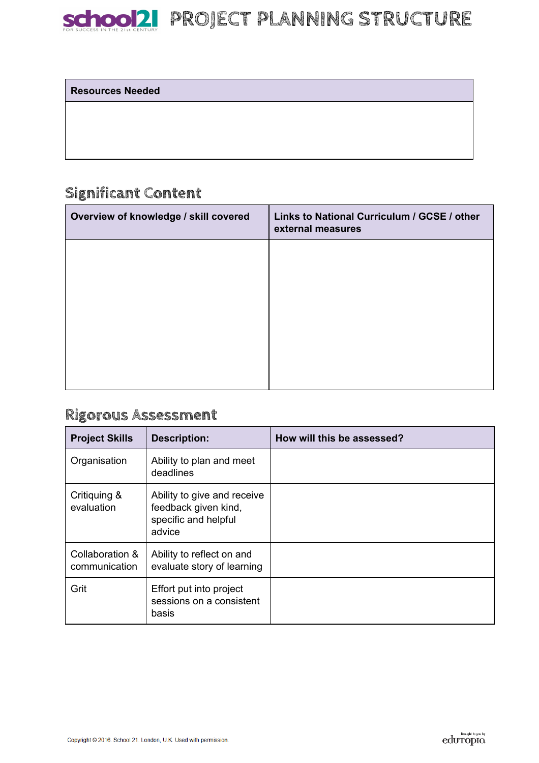

SChOOD! PROJECT PLANNING STRUCTURE

#### **Resources Needed**

## **Significant Content**

| Overview of knowledge / skill covered | Links to National Curriculum / GCSE / other<br>external measures |
|---------------------------------------|------------------------------------------------------------------|
|                                       |                                                                  |
|                                       |                                                                  |
|                                       |                                                                  |
|                                       |                                                                  |
|                                       |                                                                  |

## **Rigorous Assessment**

| <b>Project Skills</b>            | <b>Description:</b>                                                                   | How will this be assessed? |
|----------------------------------|---------------------------------------------------------------------------------------|----------------------------|
| Organisation                     | Ability to plan and meet<br>deadlines                                                 |                            |
| Critiquing &<br>evaluation       | Ability to give and receive<br>feedback given kind,<br>specific and helpful<br>advice |                            |
| Collaboration &<br>communication | Ability to reflect on and<br>evaluate story of learning                               |                            |
| Grit                             | Effort put into project<br>sessions on a consistent<br>basis                          |                            |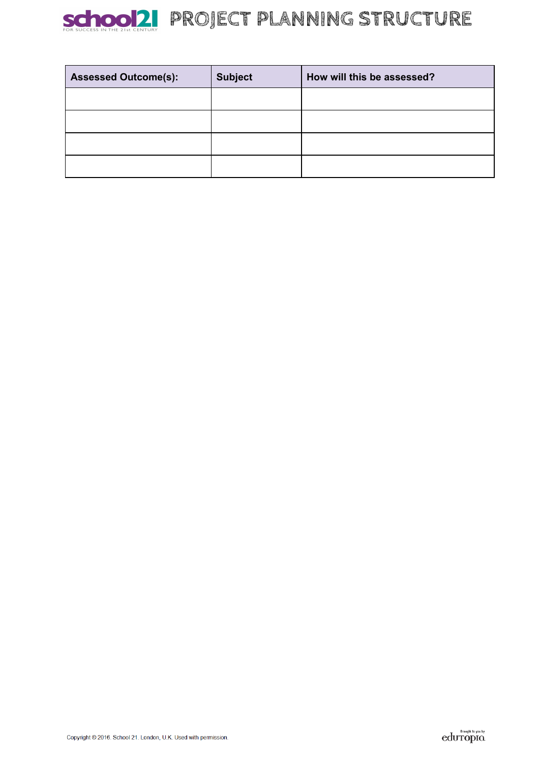

| <b>Assessed Outcome(s):</b> | <b>Subject</b> | How will this be assessed? |
|-----------------------------|----------------|----------------------------|
|                             |                |                            |
|                             |                |                            |
|                             |                |                            |
|                             |                |                            |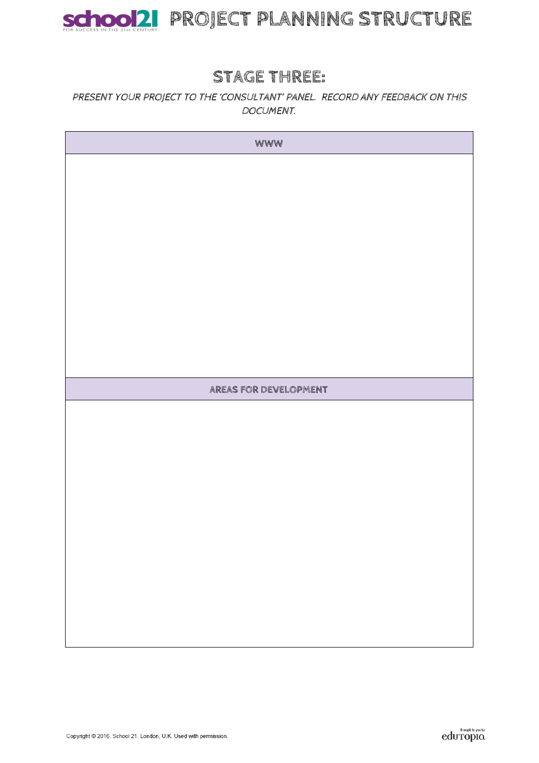

# SChOOD! PROJECT PLANNING STRUCTURE

## **STAGE THREE:**

### PRESENT YOUR PROJECT TO THE 'CONSULTANT' PANEL. RECORD ANY FEEDBACK ON THIS DOCUMENT.

| WWW                   |  |
|-----------------------|--|
|                       |  |
|                       |  |
|                       |  |
|                       |  |
|                       |  |
|                       |  |
|                       |  |
|                       |  |
|                       |  |
|                       |  |
| AREAS FOR DEVELOPMENT |  |
|                       |  |
|                       |  |
|                       |  |
|                       |  |
|                       |  |
|                       |  |
|                       |  |
|                       |  |
|                       |  |
|                       |  |
|                       |  |
|                       |  |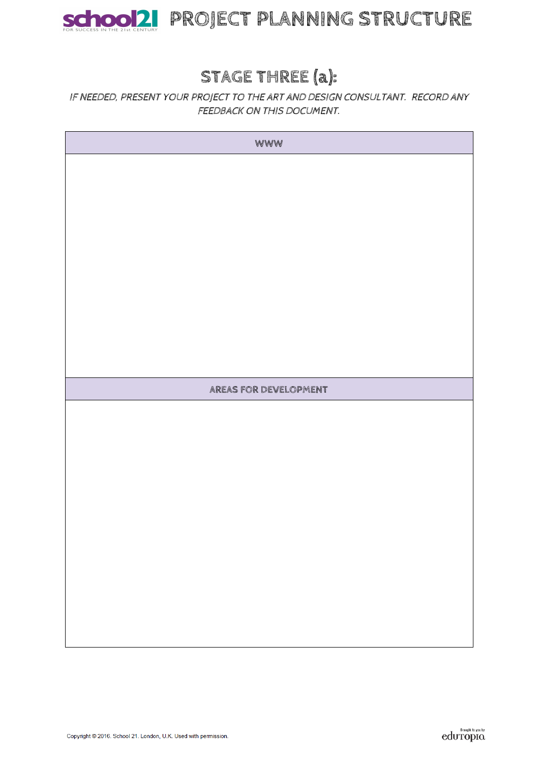

# **STAGE THREE (a):**

### IF NEEDED, PRESENT YOUR PROJECT TO THE ART AND DESIGN CONSULTANT. RECORD ANY FEEDBACK ON THIS DOCUMENT.

| WWW                   |  |
|-----------------------|--|
|                       |  |
|                       |  |
|                       |  |
|                       |  |
|                       |  |
|                       |  |
|                       |  |
|                       |  |
|                       |  |
|                       |  |
| AREAS FOR DEVELOPMENT |  |
|                       |  |
|                       |  |
|                       |  |
|                       |  |
|                       |  |
|                       |  |
|                       |  |
|                       |  |
|                       |  |
|                       |  |
|                       |  |
|                       |  |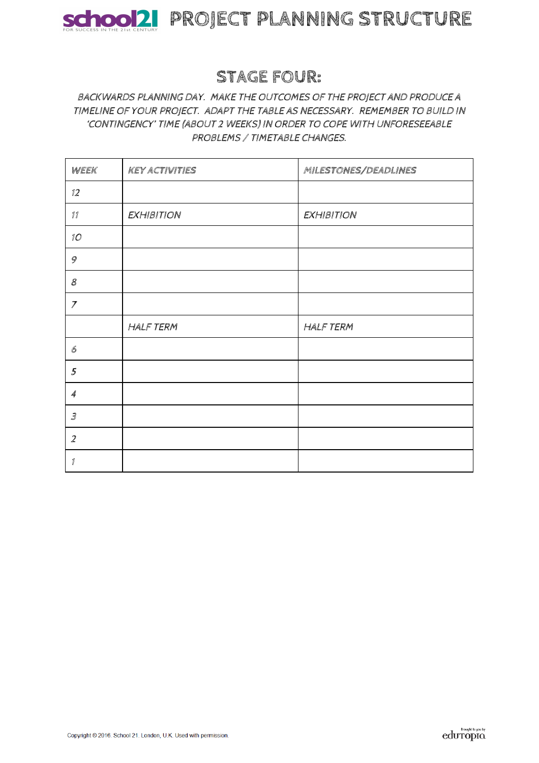

## **STAGE FOUR:**

### BACKWARDS PLANNING DAY. MAKE THE OUTCOMES OF THE PROJECT AND PRODUCE A TIMELINE OF YOUR PROJECT. ADAPT THE TABLE AS NECESSARY. REMEMBER TO BUILD IN 'CONTINGENCY' TIME (ABOUT 2 WEEKS) IN ORDER TO COPE WITH UNFORESEEABLE PROBLEMS / TIMETABLE CHANGES.

| WEEK                                                      | <b>KEY ACTIVITIES</b> | MILESTONES/DEADLINES |
|-----------------------------------------------------------|-----------------------|----------------------|
| 12                                                        |                       |                      |
| $\operatorname{\mathcal{I}} \operatorname{\mathcal{I}}$   | <b>EXHIBITION</b>     | <b>EXHIBITION</b>    |
| 10 <sup>o</sup>                                           |                       |                      |
| 9                                                         |                       |                      |
| 8                                                         |                       |                      |
| $\overline{7}$                                            |                       |                      |
|                                                           | <b>HALF TERM</b>      | <b>HALF TERM</b>     |
| $\mathcal{C}% _{M_{1},M_{2}}^{\alpha,\beta}(\varepsilon)$ |                       |                      |
| 5                                                         |                       |                      |
| $\overline{\mathcal{A}}$                                  |                       |                      |
| $\mathcal S$                                              |                       |                      |
| $\overline{2}$                                            |                       |                      |
| $\mathcal I$                                              |                       |                      |